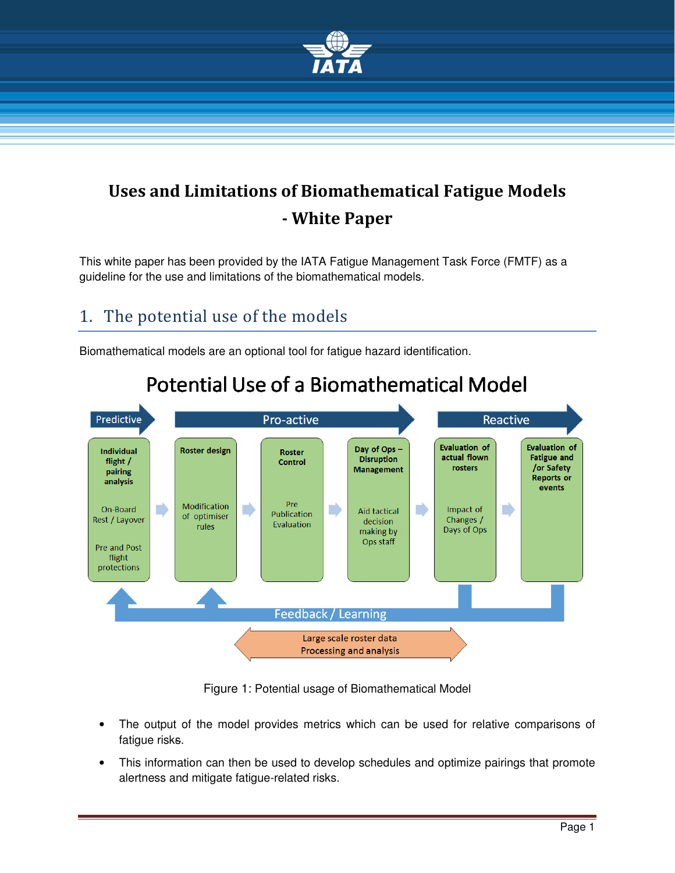

## Uses and Limitations of Biomathematical Fatigue Models - White Paper

This white paper has been provided by the IATA Fatigue Management Task Force (FMTF) as a guideline for the use and limitations of the biomathematical models.

### 1. The potential use of the models

Biomathematical models are an optional tool for fatigue hazard identification.



# **Potential Use of a Biomathematical Model**

Figure 1: Potential usage of Biomathematical Model

- The output of the model provides metrics which can be used for relative comparisons of fatigue risks.
- This information can then be used to develop schedules and optimize pairings that promote alertness and mitigate fatigue-related risks.